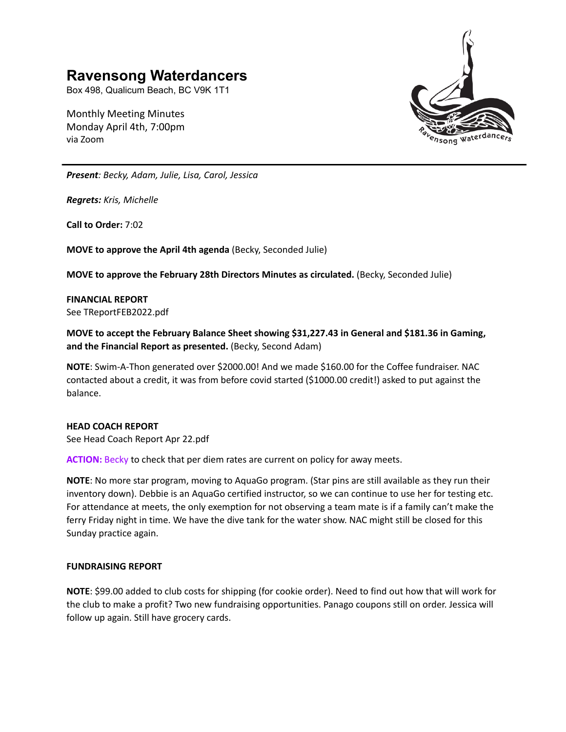# **Ravensong Waterdancers**

Box 498, Qualicum Beach, BC V9K 1T1

Monthly Meeting Minutes Monday April 4th, 7:00pm via Zoom



*Present: Becky, Adam, Julie, Lisa, Carol, Jessica*

*Regrets: Kris, Michelle*

**Call to Order:** 7:02

**MOVE to approve the April 4th agenda** (Becky, Seconded Julie)

**MOVE to approve the February 28th Directors Minutes as circulated.** (Becky, Seconded Julie)

**FINANCIAL REPORT** See TReportFEB2022.pdf

**MOVE to accept the February Balance Sheet showing \$31,227.43 in General and \$181.36 in Gaming, and the Financial Report as presented.** (Becky, Second Adam)

**NOTE**: Swim-A-Thon generated over \$2000.00! And we made \$160.00 for the Coffee fundraiser. NAC contacted about a credit, it was from before covid started (\$1000.00 credit!) asked to put against the balance.

## **HEAD COACH REPORT**

See Head Coach Report Apr 22.pdf

ACTION: Becky to check that per diem rates are current on policy for away meets.

**NOTE**: No more star program, moving to AquaGo program. (Star pins are still available as they run their inventory down). Debbie is an AquaGo certified instructor, so we can continue to use her for testing etc. For attendance at meets, the only exemption for not observing a team mate is if a family can't make the ferry Friday night in time. We have the dive tank for the water show. NAC might still be closed for this Sunday practice again.

# **FUNDRAISING REPORT**

**NOTE**: \$99.00 added to club costs for shipping (for cookie order). Need to find out how that will work for the club to make a profit? Two new fundraising opportunities. Panago coupons still on order. Jessica will follow up again. Still have grocery cards.